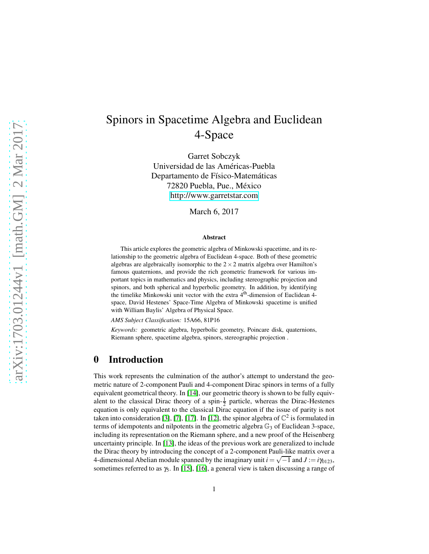# Spinors in Spacetime Algebra and Euclidean 4-Space

Garret Sobczyk Universidad de las Américas-Puebla Departamento de Físico-Matemáticas 72820 Puebla, Pue., México <http://www.garretstar.com>

March 6, 2017

#### Abstract

This article explores the geometric algebra of Minkowski spacetime, and its relationship to the geometric algebra of Euclidean 4-space. Both of these geometric algebras are algebraically isomorphic to the  $2 \times 2$  matrix algebra over Hamilton's famous quaternions, and provide the rich geometric framework for various important topics in mathematics and physics, including stereographic projection and spinors, and both spherical and hyperbolic geometry. In addition, by identifying the timelike Minkowski unit vector with the extra 4th-dimension of Euclidean 4 space, David Hestenes' Space-Time Algebra of Minkowski spacetime is unified with William Baylis' Algebra of Physical Space.

*AMS Subject Classification:* 15A66, 81P16

*Keywords:* geometric algebra, hyperbolic geometry, Poincare disk, quaternions, Riemann sphere, spacetime algebra, spinors, stereographic projection .

#### 0 Introduction

This work represents the culmination of the author's attempt to understand the geometric nature of 2-component Pauli and 4-component Dirac spinors in terms of a fully equivalent geometrical theory. In [\[14\]](#page-15-0), our geometric theory is shown to be fully equivalent to the classical Dirac theory of a spin- $\frac{1}{2}$  particle, whereas the Dirac-Hestenes equation is only equivalent to the classical Dirac equation if the issue of parity is not taken into consideration [\[3\]](#page-14-0), [\[7\]](#page-15-1), [\[17\]](#page-15-2). In [\[12\]](#page-15-3), the spinor algebra of  $\mathbb{C}^2$  is formulated in terms of idempotents and nilpotents in the geometric algebra  $\mathbb{G}_3$  of Euclidean 3-space, including its representation on the Riemann sphere, and a new proof of the Heisenberg uncertainty principle. In [\[13\]](#page-15-4), the ideas of the previous work are generalized to include the Dirac theory by introducing the concept of a 2-component Pauli-like matrix over a 4-dimensional Abelian module spanned by the imaginary unit  $i = \sqrt{-1}$  and  $J := i\gamma_{0123}$ , sometimes referred to as  $\gamma_5$ . In [\[15\]](#page-15-5), [\[16\]](#page-15-6), a general view is taken discussing a range of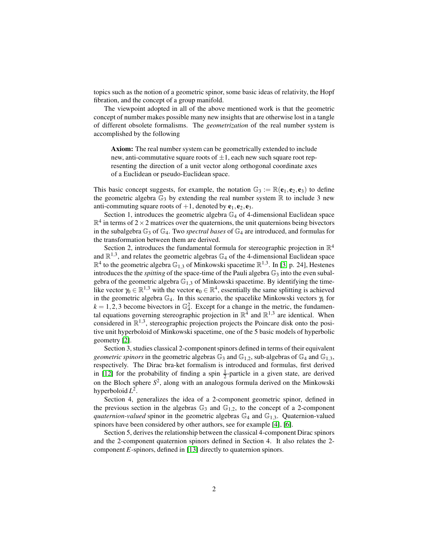topics such as the notion of a geometric spinor, some basic ideas of relativity, the Hopf fibration, and the concept of a group manifold.

The viewpoint adopted in all of the above mentioned work is that the geometric concept of number makes possible many new insights that are otherwise lost in a tangle of different obsolete formalisms. The *geometrization* of the real number system is accomplished by the following

Axiom: The real number system can be geometrically extended to include new, anti-commutative square roots of  $\pm 1$ , each new such square root representing the direction of a unit vector along orthogonal coordinate axes of a Euclidean or pseudo-Euclidean space.

This basic concept suggests, for example, the notation  $\mathbb{G}_3 := \mathbb{R}(\mathbf{e}_1, \mathbf{e}_2, \mathbf{e}_3)$  to define the geometric algebra  $\mathbb{G}_3$  by extending the real number system  $\mathbb R$  to include 3 new anti-commuting square roots of  $+1$ , denoted by  $e_1, e_2, e_3$ .

Section 1, introduces the geometric algebra  $\mathbb{G}_4$  of 4-dimensional Euclidean space  $\mathbb{R}^4$  in terms of 2 × 2 matrices over the quaternions, the unit quaternions being bivectors in the subalgebra  $\mathbb{G}_3$  of  $\mathbb{G}_4$ . Two *spectral bases* of  $\mathbb{G}_4$  are introduced, and formulas for the transformation between them are derived.

Section 2, introduces the fundamental formula for stereographic projection in  $\mathbb{R}^4$ and  $\mathbb{R}^{1,3}$ , and relates the geometric algebras  $\mathbb{G}_4$  of the 4-dimensional Euclidean space  $\mathbb{R}^4$  to the geometric algebra  $\mathbb{G}_{1,3}$  of Minkowski spacetime  $\mathbb{R}^{1,3}$ . In [\[3,](#page-14-0) p. 24], Hestenes introduces the the *spitting* of the space-time of the Pauli algebra  $\mathbb{G}_3$  into the even subalgebra of the geometric algebra  $\mathbb{G}_{1,3}$  of Minkowski spacetime. By identifying the timelike vector  $\gamma_0 \in \mathbb{R}^{1,3}$  with the vector  $\mathbf{e}_0 \in \mathbb{R}^4$ , essentially the same splitting is achieved in the geometric algebra G4. In this scenario, the spacelike Minkowski vectors <sup>γ</sup>*<sup>k</sup>* for  $k = 1, 2, 3$  become bivectors in  $\mathbb{G}_4^2$ . Except for a change in the metric, the fundamental equations governing stereographic projection in  $\mathbb{R}^{\overline{4}}$  and  $\mathbb{R}^{1,3}$  are identical. When considered in  $\mathbb{R}^{1,3}$ , stereographic projection projects the Poincare disk onto the positive unit hyperboloid of Minkowski spacetime, one of the 5 basic models of hyperbolic geometry [\[2\]](#page-14-1).

Section 3, studies classical 2-component spinors defined in terms of their equivalent *geometric spinors* in the geometric algebras  $\mathbb{G}_3$  and  $\mathbb{G}_{1,2}$ , sub-algebras of  $\mathbb{G}_4$  and  $\mathbb{G}_{1,3}$ , respectively. The Dirac bra-ket formalism is introduced and formulas, first derived in [\[12\]](#page-15-3) for the probability of finding a spin  $\frac{1}{2}$ -particle in a given state, are derived on the Bloch sphere *S* 2 , along with an analogous formula derived on the Minkowski hyperboloid *L* 2 .

Section 4, generalizes the idea of a 2-component geometric spinor, defined in the previous section in the algebras  $\mathbb{G}_3$  and  $\mathbb{G}_{1,2}$ , to the concept of a 2-component *quaternion-valued* spinor in the geometric algebras  $\mathbb{G}_4$  and  $\mathbb{G}_{1,3}$ . Quaternion-valued spinors have been considered by other authors, see for example [\[4\]](#page-14-2), [\[6\]](#page-14-3).

Section 5, derives the relationship between the classical 4-component Dirac spinors and the 2-component quaternion spinors defined in Section 4. It also relates the 2 component *E*-spinors, defined in [\[13\]](#page-15-4) directly to quaternion spinors.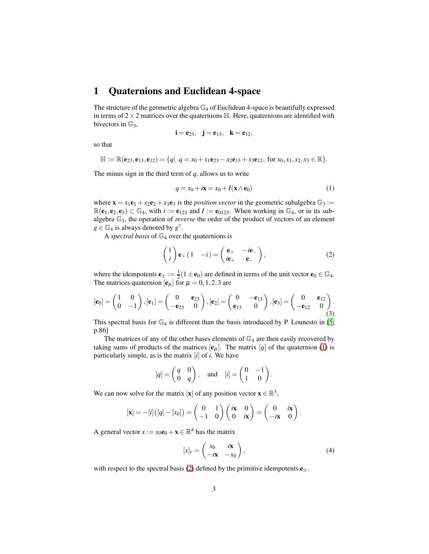### 1 Quaternions and Euclidean 4-space

The structure of the geometric algebra  $\mathbb{G}_4$  of Euclidean 4-space is beautifully expressed in terms of  $2 \times 2$  matrices over the quaternions  $\mathbb{H}$ . Here, quaternions are identified with bivectors in  $\mathbb{G}_3$ ,

$$
i\,{=}\,e_{23},\ \ j\,{=}\,e_{13},\ \ k\,{=}\,e_{12},
$$

so that

$$
\mathbb{H} := \mathbb{R}(\mathbf{e}_{23}, \mathbf{e}_{13}, \mathbf{e}_{12}) = \{q | q = x_0 + x_1 \mathbf{e}_{23} - x_2 \mathbf{e}_{13} + x_3 \mathbf{e}_{12}, \text{ for } x_0, x_1, x_2, x_3 \in \mathbb{R} \}.
$$

The minus sign in the third term of *q*, allows us to write

<span id="page-2-0"></span>
$$
q = x_0 + i\mathbf{x} = x_0 + I(\mathbf{x} \wedge \mathbf{e}_0)
$$
 (1)

where  $\mathbf{x} = x_1 \mathbf{e}_1 + x_2 \mathbf{e}_2 + x_3 \mathbf{e}_3$  is the *position vector* in the geometric subalgebra  $\mathbb{G}_3 :=$  $\mathbb{R}(\mathbf{e}_1,\mathbf{e}_2,\mathbf{e}_3) \subset \mathbb{G}_4$ , with  $i := \mathbf{e}_{123}$  and  $I := \mathbf{e}_{0123}$ . When working in  $\mathbb{G}_4$ , or in its subalgebra G3, the operation of *reverse* the order of the product of vectors of an element  $g \in \mathbb{G}_4$  is always denoted by  $g^{\dagger}$ .

A *spectral basis* of  $\mathbb{G}_4$  over the quaternions is

<span id="page-2-1"></span>
$$
\begin{pmatrix} 1 \\ i \end{pmatrix} \mathbf{e}_{+} (1 - i) = \begin{pmatrix} \mathbf{e}_{+} & -i\mathbf{e}_{-} \\ i\mathbf{e}_{+} & \mathbf{e}_{-} \end{pmatrix}, \tag{2}
$$

where the idempotents  $\mathbf{e}_{\pm} := \frac{1}{2}(1 \pm \mathbf{e}_0)$  are defined in terms of the unit vector  $\mathbf{e}_0 \in \mathbb{G}_4$ . The matrices quaternion  $[\mathbf{e}_{\mu}]$  for  $\mu = 0, 1, 2, 3$  are

$$
[\mathbf{e}_0] = \begin{pmatrix} 1 & 0 \\ 0 & -1 \end{pmatrix}, [\mathbf{e}_1] = \begin{pmatrix} 0 & \mathbf{e}_{23} \\ -\mathbf{e}_{23} & 0 \end{pmatrix}, [\mathbf{e}_2] = \begin{pmatrix} 0 & -\mathbf{e}_{13} \\ \mathbf{e}_{13} & 0 \end{pmatrix}, [\mathbf{e}_3] = \begin{pmatrix} 0 & \mathbf{e}_{12} \\ -\mathbf{e}_{12} & 0 \end{pmatrix}.
$$

This spectral basis for  $\mathbb{G}_4$  is different than the basis introduced by P. Lounesto in [\[5,](#page-14-4) p.86]

The matrices of any of the other bases elements of  $\mathbb{G}_4$  are then easily recovered by taking sums of products of the matrices  $[e_\mu]$ . The matrix  $[q]$  of the quaternion [\(1\)](#page-2-0) is particularly simple, as is the matrix [*i*] of *i*. We have

$$
[q] = \begin{pmatrix} q & 0 \\ 0 & q \end{pmatrix}
$$
, and  $[i] = \begin{pmatrix} 0 & -1 \\ 1 & 0 \end{pmatrix}$ .

We can now solve for the matrix [**x**] of any position vector  $\mathbf{x} \in \mathbb{R}^3$ ,

$$
[\mathbf{x}] = -[i]([q] - [x_0]) = \begin{pmatrix} 0 & 1 \\ -1 & 0 \end{pmatrix} \begin{pmatrix} i\mathbf{x} & 0 \\ 0 & i\mathbf{x} \end{pmatrix} = \begin{pmatrix} 0 & i\mathbf{x} \\ -i\mathbf{x} & 0 \end{pmatrix}.
$$

A general vector  $x := x_0 \mathbf{e}_0 + \mathbf{x} \in \mathbb{R}^4$  has the matrix

$$
[x]_e = \begin{pmatrix} x_0 & i\mathbf{x} \\ -i\mathbf{x} & -x_0 \end{pmatrix},\tag{4}
$$

with respect to the spectral basis [\(2\)](#page-2-1) defined by the primitive idempotents  $e_{\pm}$ .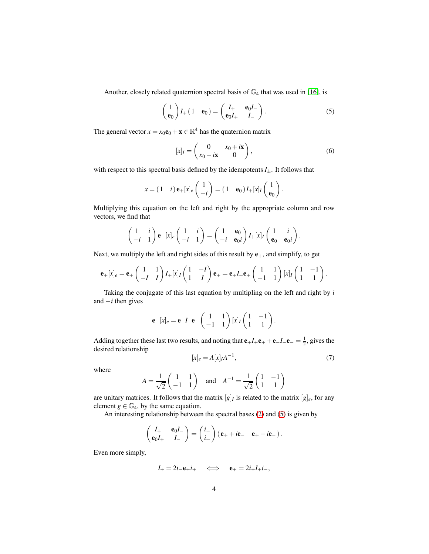Another, closely related quaternion spectral basis of  $\mathbb{G}_4$  that was used in [\[16\]](#page-15-6), is

<span id="page-3-0"></span>
$$
\begin{pmatrix} 1 \\ \mathbf{e}_0 \end{pmatrix} I_+ \begin{pmatrix} 1 & \mathbf{e}_0 \end{pmatrix} = \begin{pmatrix} I_+ & \mathbf{e}_0 I_- \\ \mathbf{e}_0 I_+ & I_- \end{pmatrix}.
$$
 (5)

The general vector  $x = x_0 \mathbf{e}_0 + \mathbf{x} \in \mathbb{R}^4$  has the quaternion matrix

$$
[x]_I = \begin{pmatrix} 0 & x_0 + i\mathbf{x} \\ x_0 - i\mathbf{x} & 0 \end{pmatrix},\tag{6}
$$

with respect to this spectral basis defined by the idempotents  $I_{\pm}$ . It follows that

$$
x = (1 \quad i) \mathbf{e}_{+}[x]_{e} \begin{pmatrix} 1 \\ -i \end{pmatrix} = (1 \quad \mathbf{e}_{0}) I_{+}[x]_{I} \begin{pmatrix} 1 \\ \mathbf{e}_{0} \end{pmatrix}.
$$

Multiplying this equation on the left and right by the appropriate column and row vectors, we find that

$$
\begin{pmatrix} 1 & i \ -i & 1 \end{pmatrix} \mathbf{e}_{+}[x]_{e} \begin{pmatrix} 1 & i \ -i & 1 \end{pmatrix} = \begin{pmatrix} 1 & \mathbf{e}_{0} \\ -i & \mathbf{e}_{0}i \end{pmatrix} I_{+}[x]_{I} \begin{pmatrix} 1 & i \ \mathbf{e}_{0} & \mathbf{e}_{0}i \end{pmatrix}.
$$

Next, we multiply the left and right sides of this result by  $e_+$ , and simplify, to get

$$
\mathbf{e}_{+}[x]_{e} = \mathbf{e}_{+}\begin{pmatrix} 1 & 1 \\ -I & I \end{pmatrix} I_{+}[x]_{I} \begin{pmatrix} 1 & -I \\ 1 & I \end{pmatrix} \mathbf{e}_{+} = \mathbf{e}_{+} I_{+} \mathbf{e}_{+} \begin{pmatrix} 1 & 1 \\ -1 & 1 \end{pmatrix} [x]_{I} \begin{pmatrix} 1 & -1 \\ 1 & 1 \end{pmatrix}.
$$

Taking the conjugate of this last equation by multipling on the left and right by *i* and −*i* then gives

$$
\mathbf{e}_{-}[x]_e = \mathbf{e}_{-}I_{-}\mathbf{e}_{-}\begin{pmatrix} 1 & 1 \ -1 & 1 \end{pmatrix}[x]_I\begin{pmatrix} 1 & -1 \ 1 & 1 \end{pmatrix}.
$$

Adding together these last two results, and noting that  $e_+I_+e_+ + e_-I_-e_- = \frac{1}{2}$ , gives the desired relationship

<span id="page-3-1"></span>
$$
[x]_e = A[x]_I A^{-1},\tag{7}
$$

where

$$
A = \frac{1}{\sqrt{2}} \begin{pmatrix} 1 & 1 \\ -1 & 1 \end{pmatrix} \text{ and } A^{-1} = \frac{1}{\sqrt{2}} \begin{pmatrix} 1 & -1 \\ 1 & 1 \end{pmatrix}
$$

are unitary matrices. It follows that the matrix  $[g]_I$  is related to the matrix  $[g]_e$ , for any element  $g \in \mathbb{G}_4$ , by the same equation.

An interesting relationship between the spectral bases [\(2\)](#page-2-1) and [\(5\)](#page-3-0) is given by

$$
\begin{pmatrix} I_+ & \mathbf{e}_0 I_- \\ \mathbf{e}_0 I_+ & I_- \end{pmatrix} = \begin{pmatrix} i_- \\ i_+ \end{pmatrix} (\mathbf{e}_+ + i\mathbf{e}_- \mathbf{e}_+ - i\mathbf{e}_-).
$$

Even more simply,

$$
I_+ = 2i_-{\bf e}_+i_+ \quad \iff \quad {\bf e}_+ = 2i_+I_+i_-,
$$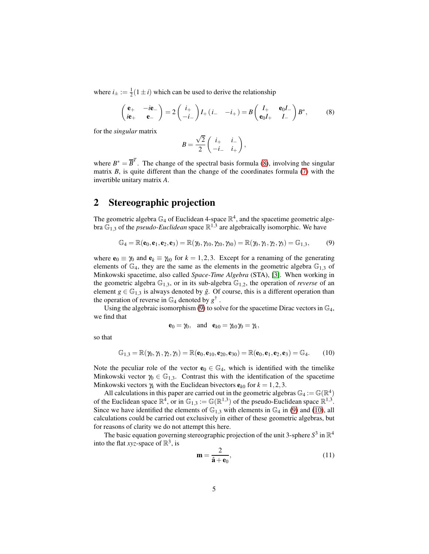where  $i_{\pm} := \frac{1}{2}(1 \pm i)$  which can be used to derive the relationship

<span id="page-4-0"></span>
$$
\begin{pmatrix} \mathbf{e}_{+} & -i\mathbf{e}_{-} \\ i\mathbf{e}_{+} & \mathbf{e}_{-} \end{pmatrix} = 2\begin{pmatrix} i_{+} \\ -i_{-} \end{pmatrix}I_{+} (i_{-} -i_{+}) = B\begin{pmatrix} I_{+} & \mathbf{e}_{0}I_{-} \\ \mathbf{e}_{0}I_{+} & I_{-} \end{pmatrix}B^{*},
$$
(8)

for the *singular* matrix

$$
B=\frac{\sqrt{2}}{2}\left(\begin{array}{cc} i_+ & i_- \\ -i_- & i_+\end{array}\right),
$$

where  $B^* = \overline{B}^T$ . The change of the spectral basis formula [\(8\)](#page-4-0), involving the singular matrix *B*, is quite different than the change of the coordinates formula [\(7\)](#page-3-1) with the invertible unitary matrix *A*.

#### 2 Stereographic projection

The geometric algebra  $\mathbb{G}_4$  of Euclidean 4-space  $\mathbb{R}^4$ , and the spacetime geometric algebra  $\mathbb{G}_{1,3}$  of the *pseudo-Euclidean* space  $\mathbb{R}^{1,3}$  are algebraically isomorphic. We have

<span id="page-4-1"></span>
$$
\mathbb{G}_4 = \mathbb{R}(\mathbf{e}_0, \mathbf{e}_1, \mathbf{e}_2, \mathbf{e}_3) = \mathbb{R}(\gamma_0, \gamma_{10}, \gamma_{20}, \gamma_{30}) = \mathbb{R}(\gamma_0, \gamma_1, \gamma_2, \gamma_3) = \mathbb{G}_{1,3},\tag{9}
$$

where  $\mathbf{e}_0 \equiv \gamma_0$  and  $\mathbf{e}_k \equiv \gamma_{k0}$  for  $k = 1, 2, 3$ . Except for a renaming of the generating elements of  $\mathbb{G}_4$ , they are the same as the elements in the geometric algebra  $\mathbb{G}_{1,3}$  of Minkowski spacetime, also called *Space-Time Algebra* (STA), [\[3\]](#page-14-0). When working in the geometric algebra  $\mathbb{G}_{1,3}$ , or in its sub-algebra  $\mathbb{G}_{1,2}$ , the operation of *reverse* of an element  $g \in \mathbb{G}_{1,3}$  is always denoted by  $\tilde{g}$ . Of course, this is a different operation than the operation of reverse in  $\mathbb{G}_4$  denoted by  $g^{\dagger}$ .

Using the algebraic isomorphism [\(9\)](#page-4-1) to solve for the spacetime Dirac vectors in  $\mathbb{G}_4$ , we find that

$$
\mathbf{e}_0 = \gamma_0, \quad \text{and} \quad \mathbf{e}_{k0} = \gamma_{k0} \gamma_0 = \gamma_k,
$$

so that

<span id="page-4-2"></span>
$$
\mathbb{G}_{1,3} = \mathbb{R}(\gamma_0, \gamma_1, \gamma_2, \gamma_3) = \mathbb{R}(\mathbf{e}_0, \mathbf{e}_{10}, \mathbf{e}_{20}, \mathbf{e}_{30}) = \mathbb{R}(\mathbf{e}_0, \mathbf{e}_1, \mathbf{e}_2, \mathbf{e}_3) = \mathbb{G}_4.
$$
 (10)

Note the peculiar role of the vector  $e_0 \in \mathbb{G}_4$ , which is identified with the timelike Minkowski vector  $\gamma_0 \in \mathbb{G}_{1,3}$ . Contrast this with the identification of the spacetime Minkowski vectors  $\gamma_k$  with the Euclidean bivectors  $e_{k0}$  for  $k = 1, 2, 3$ .

All calculations in this paper are carried out in the geometric algebras  $\mathbb{G}_4 := \mathbb{G}(\mathbb{R}^4)$ of the Euclidean space  $\mathbb{R}^4$ , or in  $\mathbb{G}_{1,3} := \mathbb{G}(\mathbb{R}^{1,3})$  of the pseudo-Euclidean space  $\mathbb{R}^{1,3}$ . Since we have identified the elements of  $\mathbb{G}_{1,3}$  with elements in  $\mathbb{G}_4$  in [\(9\)](#page-4-1) and [\(10\)](#page-4-2), all calculations could be carried out exclusively in either of these geometric algebras, but for reasons of clarity we do not attempt this here.

The basic equation governing stereographic projection of the unit 3-sphere  $S^3$  in  $\mathbb{R}^4$ into the flat *xyz*-space of  $\mathbb{R}^3$ , is

<span id="page-4-3"></span>
$$
\mathbf{m} = \frac{2}{\hat{\mathbf{a}} + \mathbf{e}_0},\tag{11}
$$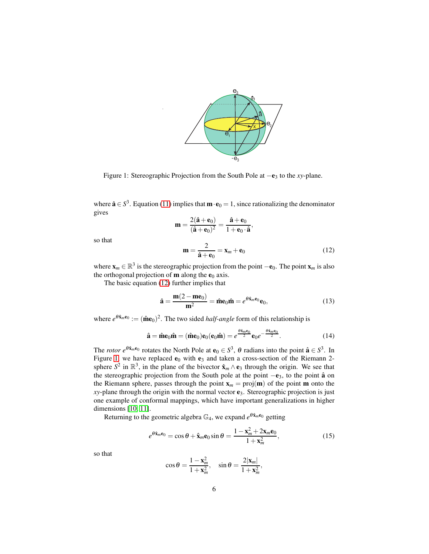

<span id="page-5-1"></span>Figure 1: Stereographic Projection from the South Pole at −e<sup>3</sup> to the *xy*-plane.

where  $\hat{\mathbf{a}} \in S^3$ . Equation [\(11\)](#page-4-3) implies that  $\mathbf{m} \cdot \mathbf{e}_0 = 1$ , since rationalizing the denominator gives

$$
\mathbf{m} = \frac{2(\hat{\mathbf{a}} + \mathbf{e}_0)}{(\hat{\mathbf{a}} + \mathbf{e}_0)^2} = \frac{\hat{\mathbf{a}} + \mathbf{e}_0}{1 + \mathbf{e}_0 \cdot \hat{\mathbf{a}}},
$$

so that

<span id="page-5-0"></span>
$$
\mathbf{m} = \frac{2}{\hat{\mathbf{a}} + \mathbf{e}_0} = \mathbf{x}_m + \mathbf{e}_0 \tag{12}
$$

where  $\mathbf{x}_m \in \mathbb{R}^3$  is the stereographic projection from the point  $-\mathbf{e}_0$ . The point  $\mathbf{x}_m$  is also the orthogonal projection of **m** along the  $e_0$  axis.

The basic equation [\(12\)](#page-5-0) further implies that

<span id="page-5-2"></span>
$$
\hat{\mathbf{a}} = \frac{\mathbf{m}(2 - \mathbf{m}\mathbf{e}_0)}{\mathbf{m}^2} = \hat{\mathbf{m}}\mathbf{e}_0\hat{\mathbf{m}} = e^{\theta \hat{\mathbf{x}}_m \mathbf{e}_0} \mathbf{e}_0, \tag{13}
$$

where  $e^{\theta \hat{\mathbf{x}}_m \mathbf{e}_0} := (\hat{\mathbf{m}} \mathbf{e}_0)^2$ . The two sided *half-angle* form of this relationship is

<span id="page-5-4"></span>
$$
\hat{\mathbf{a}} = \hat{\mathbf{m}}\mathbf{e}_0\hat{\mathbf{m}} = (\hat{\mathbf{m}}\mathbf{e}_0)\mathbf{e}_0(\mathbf{e}_0\hat{\mathbf{m}}) = e^{\frac{\theta \hat{\mathbf{x}}_m \mathbf{e}_0}{2}}\mathbf{e}_0 e^{-\frac{\theta \hat{\mathbf{x}}_m \mathbf{e}_0}{2}}.
$$
(14)

The *rotor*  $e^{\theta \hat{\mathbf{x}}_m \mathbf{e}_0}$  rotates the North Pole at  $\mathbf{e}_0 \in S^3$ ,  $\theta$  radians into the point  $\hat{\mathbf{a}} \in S^3$ . In Figure [1,](#page-5-1) we have replaced  $e_0$  with  $e_3$  and taken a cross-section of the Riemann 2sphere  $S^2$  in  $\mathbb{R}^3$ , in the plane of the bivector  $\hat{\mathbf{x}}_m \wedge \mathbf{e}_3$  through the origin. We see that the stereographic projection from the South pole at the point  $-e_3$ , to the point  $\hat{a}$  on the Riemann sphere, passes through the point  $x_m = \text{proj}(m)$  of the point **m** onto the  $xy$ -plane through the origin with the normal vector  $e_3$ . Stereographic projection is just one example of conformal mappings, which have important generalizations in higher dimensions [\[10,](#page-15-7) [11\]](#page-15-8).

Returning to the geometric algebra  $\mathbb{G}_4$ , we expand  $e^{\theta \hat{\mathbf{x}}_m \mathbf{e}_0}$  getting

<span id="page-5-3"></span>
$$
e^{\theta \hat{\mathbf{x}}_m \mathbf{e}_0} = \cos \theta + \hat{\mathbf{x}}_m \mathbf{e}_0 \sin \theta = \frac{1 - \mathbf{x}_m^2 + 2 \mathbf{x}_m \mathbf{e}_0}{1 + \mathbf{x}_m^2},
$$
(15)

so that

$$
\cos \theta = \frac{1 - \mathbf{x}_m^2}{1 + \mathbf{x}_m^2}, \quad \sin \theta = \frac{2|\mathbf{x}_m|}{1 + \mathbf{x}_m^2},
$$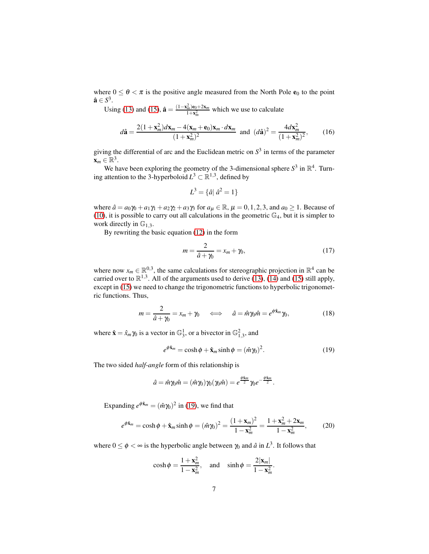where  $0 \le \theta < \pi$  is the positive angle measured from the North Pole  $e_0$  to the point  $\hat{\mathbf{a}} \in S^3$ .

Using [\(13\)](#page-5-2) and [\(15\)](#page-5-3),  $\hat{\mathbf{a}} = \frac{(1 - x_m^2)\mathbf{e}_0 + 2\mathbf{x}_m}{1 + x_m^2}$  which we use to calculate

<span id="page-6-3"></span>
$$
d\hat{\mathbf{a}} = \frac{2(1 + \mathbf{x}_m^2)d\mathbf{x}_m - 4(\mathbf{x}_m + \mathbf{e}_0)\mathbf{x}_m \cdot d\mathbf{x}_m}{(1 + \mathbf{x}_m^2)^2} \text{ and } (d\hat{\mathbf{a}})^2 = \frac{4d\mathbf{x}_m^2}{(1 + \mathbf{x}_m^2)^2},\qquad(16)
$$

giving the differential of arc and the Euclidean metric on  $S<sup>3</sup>$  in terms of the parameter  $\mathbf{x}_m \in \mathbb{R}^3$ .

We have been exploring the geometry of the 3-dimensional sphere  $S^3$  in  $\mathbb{R}^4$ . Turning attention to the 3-hyperboloid  $L^3 \subset \mathbb{R}^{1,3}$ , defined by

$$
L^3 = \{\hat{a} | \hat{a}^2 = 1\}
$$

where  $\hat{a} = a_0 \gamma_0 + a_1 \gamma_1 + a_2 \gamma_2 + a_3 \gamma_3$  for  $a_\mu \in \mathbb{R}$ ,  $\mu = 0, 1, 2, 3$ , and  $a_0 \ge 1$ . Because of [\(10\)](#page-4-2), it is possible to carry out all calculations in the geometric  $\mathbb{G}_4$ , but it is simpler to work directly in  $\mathbb{G}_{1,3}$ .

By rewriting the basic equation [\(12\)](#page-5-0) in the form

$$
m = \frac{2}{\hat{a} + \gamma_0} = x_m + \gamma_0,\tag{17}
$$

where now  $x_m \in \mathbb{R}^{0,3}$ , the same calculations for stereographic projection in  $\mathbb{R}^4$  can be carried over to  $\mathbb{R}^{1,3}$ . All of the arguments used to derive [\(13\)](#page-5-2), [\(14\)](#page-5-4) and [\(15\)](#page-5-3) still apply, except in [\(15\)](#page-5-3) we need to change the trigonometric functions to hyperbolic trigonometric functions. Thus,

<span id="page-6-1"></span>
$$
m = \frac{2}{\hat{a} + \gamma_0} = x_m + \gamma_0 \quad \Longleftrightarrow \quad \hat{a} = \hat{m}\gamma_0 \hat{m} = e^{\phi \hat{\mathbf{x}}_m} \gamma_0, \tag{18}
$$

where  $\hat{\mathbf{x}} = \hat{x}_m \gamma_0$  is a vector in  $\mathbb{G}_3^1$ , or a bivector in  $\mathbb{G}_{1,3}^2$ , and

<span id="page-6-0"></span>
$$
e^{\phi \hat{\mathbf{x}}_m} = \cosh \phi + \hat{\mathbf{x}}_m \sinh \phi = (\hat{m}\gamma_0)^2. \tag{19}
$$

The two sided *half-angle* form of this relationship is

$$
\hat{a} = \hat{m}\gamma_0\hat{m} = (\hat{m}\gamma_0)\gamma_0(\gamma_0\hat{m}) = e^{\frac{\phi \hat{\mathbf{x}}_m}{2}}\gamma_0 e^{-\frac{\phi \hat{\mathbf{x}}_m}{2}}.
$$

Expanding  $e^{\phi \hat{\mathbf{x}}_m} = (\hat{m} \gamma_0)^2$  in [\(19\)](#page-6-0), we find that

<span id="page-6-2"></span>
$$
e^{\phi \hat{\mathbf{x}}_m} = \cosh \phi + \hat{\mathbf{x}}_m \sinh \phi = (\hat{m}\gamma_0)^2 = \frac{(1 + \mathbf{x}_m)^2}{1 - \mathbf{x}_m^2} = \frac{1 + \mathbf{x}_m^2 + 2\mathbf{x}_m}{1 - \mathbf{x}_m^2},
$$
(20)

where  $0 \le \phi \lt \infty$  is the hyperbolic angle between  $\gamma_0$  and  $\hat{a}$  in  $L^3$ . It follows that

$$
\cosh \phi = \frac{1 + \mathbf{x}_m^2}{1 - \mathbf{x}_m^2}, \quad \text{and} \quad \sinh \phi = \frac{2|\mathbf{x}_m|}{1 - \mathbf{x}_m^2}.
$$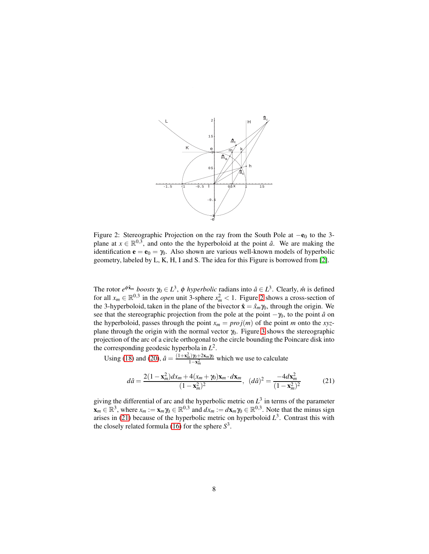

<span id="page-7-0"></span>Figure 2: Stereographic Projection on the ray from the South Pole at −e<sub>0</sub> to the 3plane at  $x \in \mathbb{R}^{0,3}$ , and onto the the hyperboloid at the point  $\hat{a}$ . We are making the identification  $\mathbf{e} = \mathbf{e}_0 = \gamma_0$ . Also shown are various well-known models of hyperbolic geometry, labeled by L, K, H, I and S. The idea for this Figure is borrowed from [\[2\]](#page-14-1).

The rotor  $e^{\phi \hat{\mathbf{x}}_m}$  *boosts*  $\gamma_0 \in L^3$ ,  $\phi$  *hyperbolic* radians into  $\hat{a} \in L^3$ . Clearly,  $\hat{m}$  is defined for all  $x_m \in \mathbb{R}^{0,3}$  in the *open* unit 3-sphere  $x_m^2 < 1$ . Figure [2](#page-7-0) shows a cross-section of the 3-hyperboloid, taken in the plane of the bivector  $\hat{\mathbf{x}} = \hat{x}_m \gamma_0$ , through the origin. We see that the stereographic projection from the pole at the point  $-\gamma_0$ , to the point  $\hat{a}$  on the hyperboloid, passes through the point  $x_m = \text{proj}(m)$  of the point *m* onto the *xyz*plane through the origin with the normal vector  $\gamma_0$ . Figure [3](#page-8-0) shows the stereographic projection of the arc of a circle orthogonal to the circle bounding the Poincare disk into the corresponding geodesic hyperbola in *L* 2 .

Using [\(18\)](#page-6-1) and [\(20\)](#page-6-2),  $\hat{a} = \frac{(1 + x_m^2)\hat{v} + 2x_m\hat{v}}{1 - x^2}$  $\frac{1}{1-x_m^2}$  which we use to calculate

<span id="page-7-1"></span>
$$
d\hat{a} = \frac{2(1 - \mathbf{x}_m^2)dx_m + 4(x_m + \gamma_0)\mathbf{x}_m \cdot d\mathbf{x}_m}{(1 - \mathbf{x}_m^2)^2}, \ (d\hat{a})^2 = \frac{-4d\mathbf{x}_m^2}{(1 - \mathbf{x}_m^2)^2}
$$
(21)

giving the differential of arc and the hyperbolic metric on  $L^3$  in terms of the parameter  $\mathbf{x}_m \in \mathbb{R}^3$ , where  $x_m := \mathbf{x}_m \gamma_0 \in \mathbb{R}^{0,3}$  and  $dx_m := d\mathbf{x}_m \gamma_0 \in \mathbb{R}^{0,3}$ . Note that the minus sign arises in [\(21\)](#page-7-1) because of the hyperbolic metric on hyperboloid  $L^3$ . Contrast this with the closely related formula [\(16\)](#page-6-3) for the sphere  $S^3$ .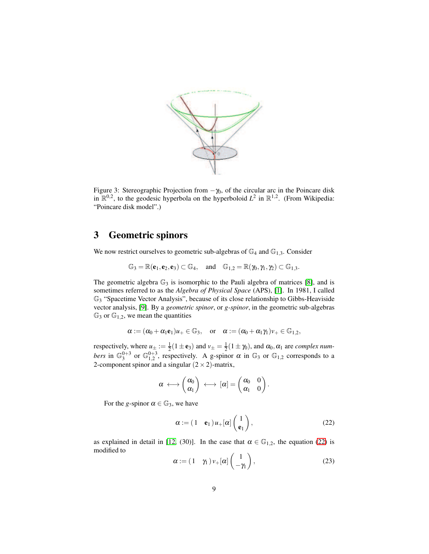

<span id="page-8-0"></span>Figure 3: Stereographic Projection from  $-\gamma_0$ , of the circular arc in the Poincare disk in  $\mathbb{R}^{0,2}$ , to the geodesic hyperbola on the hyperboloid  $L^2$  in  $\mathbb{R}^{1,2}$ . (From Wikipedia: "Poincare disk model".)

#### 3 Geometric spinors

We now restrict ourselves to geometric sub-algebras of  $\mathbb{G}_4$  and  $\mathbb{G}_{1,3}$ . Consider

$$
\mathbb{G}_3=\mathbb{R}(\textbf{e}_1,\textbf{e}_2,\textbf{e}_3)\subset \mathbb{G}_4,\quad \text{and}\quad \mathbb{G}_{1,2}=\mathbb{R}(\textbf{y}_0,\textbf{y}_1,\textbf{y}_2)\subset \mathbb{G}_{1,3}.
$$

The geometric algebra  $\mathbb{G}_3$  is isomorphic to the Pauli algebra of matrices [\[8\]](#page-15-9), and is sometimes referred to as the *Algebra of Physical Space* (APS), [\[1\]](#page-14-5). In 1981, I called G<sup>3</sup> "Spacetime Vector Analysis", because of its close relationship to Gibbs-Heaviside vector analysis, [\[9\]](#page-15-10). By a *geometric spinor*, or *g-spinor*, in the geometric sub-algebras  $\mathbb{G}_3$  or  $\mathbb{G}_{1,2}$ , we mean the quantities

$$
\alpha:=(\alpha_0+\alpha_1{\mathbf e}_1)u_+\in{\mathbb G}_3,\quad\text{or}\quad\alpha:=(\alpha_0+\alpha_1\gamma_1)\nu_+\in{\mathbb G}_{1,2},
$$

respectively, where  $u_{\pm} := \frac{1}{2}(1 \pm \mathbf{e}_3)$  and  $v_{\pm} = \frac{1}{2}(1 \pm \gamma_0)$ , and  $\alpha_0, \alpha_1$  are *complex numbers* in  $\mathbb{G}_3^{0+3}$  or  $\mathbb{G}_{1,2}^{0+3}$ , respectively. A g-spinor  $\alpha$  in  $\mathbb{G}_3$  or  $\mathbb{G}_{1,2}$  corresponds to a 2-component spinor and a singular  $(2 \times 2)$ -matrix,

$$
\alpha \, \longleftrightarrow \left( \begin{matrix} \alpha_0 \\ \alpha_1 \end{matrix} \right) \, \longleftrightarrow \, [\alpha] = \left( \begin{matrix} \alpha_0 & 0 \\ \alpha_1 & 0 \end{matrix} \right).
$$

For the *g*-spinor  $\alpha \in \mathbb{G}_3$ , we have

<span id="page-8-1"></span>
$$
\alpha := (1 \quad \mathbf{e}_1) u_+[\alpha] \begin{pmatrix} 1 \\ \mathbf{e}_1 \end{pmatrix},\tag{22}
$$

as explained in detail in [\[12,](#page-15-3) (30)]. In the case that  $\alpha \in \mathbb{G}_{1,2}$ , the equation [\(22\)](#page-8-1) is modified to

<span id="page-8-2"></span>
$$
\alpha := (1 \quad \gamma_1) \nu_+[\alpha] \begin{pmatrix} 1 \\ -\gamma_1 \end{pmatrix}, \tag{23}
$$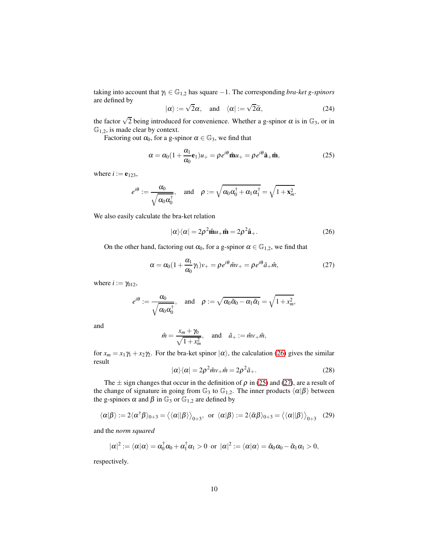taking into account that  $\gamma_1 \in \mathbb{G}_{1,2}$  has square  $-1$ . The corresponding *bra-ket g-spinors* are defined by

<span id="page-9-3"></span>
$$
|\alpha\rangle := \sqrt{2}\alpha
$$
, and  $\langle \alpha | := \sqrt{2}\widetilde{\alpha}$ , (24)

the factor  $\sqrt{2}$  being introduced for convenience. Whether a g-spinor  $\alpha$  is in  $\mathbb{G}_3$ , or in  $\mathbb{G}_{1,2}$ , is made clear by context.

Factoring out  $\alpha_0$ , for a g-spinor  $\alpha \in \mathbb{G}_3$ , we find that

<span id="page-9-1"></span>
$$
\alpha = \alpha_0 (1 + \frac{\alpha_1}{\alpha_0} \mathbf{e}_1) u_+ = \rho e^{i\theta} \hat{\mathbf{m}} u_+ = \rho e^{i\theta} \hat{\mathbf{a}}_+ \hat{\mathbf{m}}, \tag{25}
$$

where  $i := e_{123}$ ,

$$
e^{i\theta} := \frac{\alpha_0}{\sqrt{\alpha_0 \alpha_0^{\dagger}}}, \quad \text{and} \quad \rho := \sqrt{\alpha_0 \alpha_0^{\dagger} + \alpha_1 \alpha_1^{\dagger}} = \sqrt{1 + \mathbf{x}_m^2}.
$$

We also easily calculate the bra-ket relation

<span id="page-9-0"></span>
$$
|\alpha\rangle\langle\alpha| = 2\rho^2 \hat{\mathbf{m}} u_+ \hat{\mathbf{m}} = 2\rho^2 \hat{\mathbf{a}}_+.
$$
 (26)

On the other hand, factoring out  $\alpha_0$ , for a g-spinor  $\alpha \in \mathbb{G}_{1,2}$ , we find that

<span id="page-9-2"></span>
$$
\alpha = \alpha_0 (1 + \frac{\alpha_1}{\alpha_0} \gamma_1) v_+ = \rho e^{i\theta} \hat{m} v_+ = \rho e^{i\theta} \hat{a}_+ \hat{m}, \qquad (27)
$$

where  $i := \gamma_{012}$ ,

$$
e^{i\theta} := \frac{\alpha_0}{\sqrt{\alpha_0 \alpha_0^{\dagger}}}, \quad \text{and} \quad \rho := \sqrt{\alpha_0 \tilde{\alpha}_0 - \alpha_1 \tilde{\alpha}_1} = \sqrt{1 + x_m^2},
$$

and

$$
\hat{m} = \frac{x_m + \gamma_0}{\sqrt{1 + x_m^2}}, \quad \text{and} \quad \hat{a}_+ := \hat{m}v_+\hat{m},
$$

for  $x_m = x_1 \gamma_1 + x_2 \gamma_2$ . For the bra-ket spinor  $|\alpha\rangle$ , the calculation [\(26\)](#page-9-0) gives the similar result

$$
|\alpha\rangle\langle\alpha|=2\rho^2\hat{m}\nu_+\hat{m}=2\rho^2\hat{a}_+.
$$
 (28)

The  $\pm$  sign changes that occur in the definition of  $\rho$  in [\(25\)](#page-9-1) and [\(27\)](#page-9-2), are a result of the change of signature in going from  $\mathbb{G}_3$  to  $\mathbb{G}_{1,2}$ . The inner products  $\langle \alpha | \beta \rangle$  between the g-spinors  $\alpha$  and  $\beta$  in  $\mathbb{G}_3$  or  $\mathbb{G}_{1,2}$  are defined by

<span id="page-9-4"></span>
$$
\langle \alpha | \beta \rangle := 2 \langle \alpha^{\dagger} \beta \rangle_{0+3} = \langle \langle \alpha | | \beta \rangle \rangle_{0+3}, \text{ or } \langle \alpha | \beta \rangle := 2 \langle \tilde{\alpha} \beta \rangle_{0+3} = \langle \langle \alpha | | \beta \rangle \rangle_{0+3} \quad (29)
$$

and the *norm squared*

$$
|\alpha|^2:=\langle \alpha|\alpha\rangle=\alpha_0^\dagger\alpha_0+\alpha_1^\dagger\alpha_1>0\ \ \text{or}\ \ |\alpha|^2:=\langle \alpha|\alpha\rangle=\tilde{\alpha}_0\alpha_0-\tilde{\alpha}_1\alpha_1>0,
$$

respectively.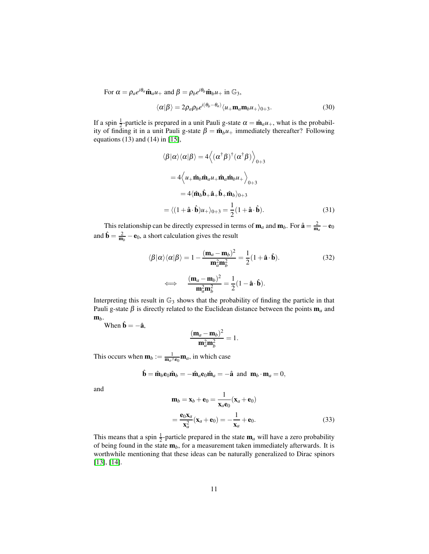For  $\alpha = \rho_a e^{i\theta_a} \hat{\mathbf{m}}_a u_+$  and  $\beta = \rho_b e^{i\theta_b} \hat{\mathbf{m}}_b u_+$  in  $\mathbb{G}_3$ ,

<span id="page-10-2"></span>
$$
\langle \alpha | \beta \rangle = 2 \rho_a \rho_b e^{i(\theta_b - \theta_a)} \langle u_+ \mathbf{m}_a \mathbf{m}_b u_+ \rangle_{0+3}.
$$
 (30)

If a spin  $\frac{1}{2}$ -particle is prepared in a unit Pauli g-state  $\alpha = \hat{\mathbf{m}}_a u_+$ , what is the probability of finding it in a unit Pauli g-state  $\beta = \hat{\mathbf{m}}_b u_+$  immediately thereafter? Following equations (13) and (14) in [\[15\]](#page-15-5),

$$
\langle \beta | \alpha \rangle \langle \alpha | \beta \rangle = 4 \langle (\alpha^{\dagger} \beta)^{\dagger} (\alpha^{\dagger} \beta) \rangle_{0+3}
$$
  

$$
= 4 \langle u_{+} \hat{\mathbf{m}}_{b} \hat{\mathbf{m}}_{a} u_{+} \hat{\mathbf{m}}_{a} \hat{\mathbf{m}}_{b} u_{+} \rangle_{0+3}
$$
  

$$
= 4 \langle \hat{\mathbf{m}}_{b} \hat{\mathbf{b}}_{+} \hat{\mathbf{a}}_{+} \hat{\mathbf{b}}_{+} \hat{\mathbf{m}}_{b} \rangle_{0+3}
$$
  

$$
= \langle (1 + \hat{\mathbf{a}} \cdot \hat{\mathbf{b}}) u_{+} \rangle_{0+3} = \frac{1}{2} (1 + \hat{\mathbf{a}} \cdot \hat{\mathbf{b}}).
$$
 (31)

This relationship can be directly expressed in terms of  $\mathbf{m}_a$  and  $\mathbf{m}_b$ . For  $\hat{\mathbf{a}} = \frac{2}{\mathbf{m}_a} - \mathbf{e}_0$ and  $\hat{\mathbf{b}} = \frac{2}{\mathbf{m}_b} - \mathbf{e}_0$ , a short calculation gives the result

<span id="page-10-1"></span><span id="page-10-0"></span>
$$
\langle \beta | \alpha \rangle \langle \alpha | \beta \rangle = 1 - \frac{(\mathbf{m}_a - \mathbf{m}_b)^2}{\mathbf{m}_a^2 \mathbf{m}_b^2} = \frac{1}{2} (1 + \hat{\mathbf{a}} \cdot \hat{\mathbf{b}}).
$$
 (32)  

$$
\iff \frac{(\mathbf{m}_a - \mathbf{m}_b)^2}{\mathbf{m}_a^2 \mathbf{m}_b^2} = \frac{1}{2} (1 - \hat{\mathbf{a}} \cdot \hat{\mathbf{b}}).
$$

Interpreting this result in  $\mathbb{G}_3$  shows that the probability of finding the particle in that Pauli g-state  $\beta$  is directly related to the Euclidean distance between the points  $m_a$  and m*b*.

When  $\hat{\mathbf{b}} = -\hat{\mathbf{a}}$ .

$$
\frac{(\mathbf{m}_a - \mathbf{m}_b)^2}{\mathbf{m}_a^2 \mathbf{m}_b^2} = 1.
$$

This occurs when  $\mathbf{m}_b := \frac{1}{\mathbf{m}_a \wedge \mathbf{e}_0} \mathbf{m}_a$ , in which case

$$
\hat{\mathbf{b}} = \hat{\mathbf{m}}_b \mathbf{e}_0 \hat{\mathbf{m}}_b = -\hat{\mathbf{m}}_a \mathbf{e}_0 \hat{\mathbf{m}}_a = -\hat{\mathbf{a}} \text{ and } \mathbf{m}_b \cdot \mathbf{m}_a = 0,
$$

and

$$
\mathbf{m}_b = \mathbf{x}_b + \mathbf{e}_0 = \frac{1}{\mathbf{x}_a \mathbf{e}_0} (\mathbf{x}_a + \mathbf{e}_0)
$$

$$
= \frac{\mathbf{e}_0 \mathbf{x}_a}{\mathbf{x}_a^2} (\mathbf{x}_a + \mathbf{e}_0) = -\frac{1}{\mathbf{x}_a} + \mathbf{e}_0.
$$
(33)

This means that a spin  $\frac{1}{2}$ -particle prepared in the state  $m_a$  will have a zero probability of being found in the state m*b*, for a measurement taken immediately afterwards. It is worthwhile mentioning that these ideas can be naturally generalized to Dirac spinors [\[13\]](#page-15-4), [\[14\]](#page-15-0).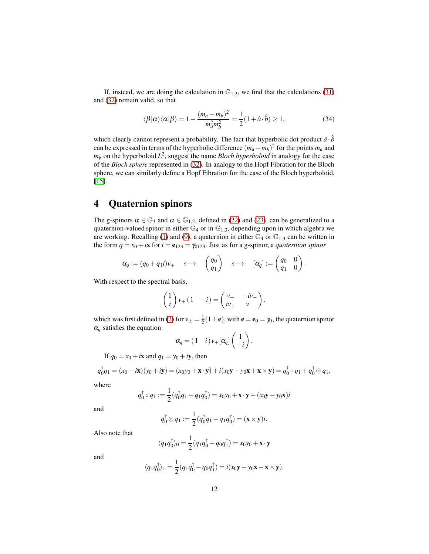If, instead, we are doing the calculation in  $\mathbb{G}_{1,2}$ , we find that the calculations [\(31\)](#page-10-0) and [\(32\)](#page-10-1) remain valid, so that

$$
\langle \beta | \alpha \rangle \langle \alpha | \beta \rangle = 1 - \frac{(m_a - m_b)^2}{m_a^2 m_b^2} = \frac{1}{2} (1 + \hat{a} \cdot \hat{b}) \ge 1,
$$
 (34)

which clearly cannot represent a probability. The fact that hyperbolic dot product  $\hat{a} \cdot \hat{b}$ can be expressed in terms of the hyperbolic difference  $(m_a - m_b)^2$  for the points  $m_a$  and  $m_b$  on the hyperboloid  $L^2$ , suggest the name *Bloch hyperboloid* in analogy for the case of the *Bloch sphere* represented in [\(32\)](#page-10-1). In analogy to the Hopf Fibration for the Bloch sphere, we can similarly define a Hopf Fibration for the case of the Bloch hyperboloid, [\[15\]](#page-15-5).

#### 4 Quaternion spinors

The g-spinors  $\alpha \in \mathbb{G}_3$  and  $\alpha \in \mathbb{G}_{1,2}$ , defined in [\(22\)](#page-8-1) and [\(23\)](#page-8-2), can be generalized to a quaternion-valued spinor in either  $\mathbb{G}_4$  or in  $\mathbb{G}_{1,3}$ , depending upon in which algebra we are working. Recalling [\(1\)](#page-2-0) and [\(9\)](#page-4-1), a quaternion in either  $\mathbb{G}_4$  or  $\mathbb{G}_{1,3}$  can be written in the form  $q = x_0 + i\mathbf{x}$  for  $i = \mathbf{e}_{123} = \gamma_{0123}$ . Just as for a g-spinor, a *quaternion spinor* 

$$
\pmb\alpha_q:=(q_0+q_1i)\mathbf v_+\quad\longleftrightarrow\quad\begin{pmatrix}q_0\\q_1\end{pmatrix}\quad\longleftrightarrow\quad [\pmb\alpha_q]:=\begin{pmatrix}q_0&0\\q_1&0\end{pmatrix}.
$$

With respect to the spectral basis,

$$
\begin{pmatrix} 1 \\ i \end{pmatrix} v_+ \begin{pmatrix} 1 & -i \end{pmatrix} = \begin{pmatrix} v_+ & -iv_- \\ iv_+ & v_- \end{pmatrix},
$$

which was first defined in [\(2\)](#page-2-1) for  $v_{\pm} = \frac{1}{2}(1 \pm e)$ , with  $e = e_0 = \gamma_0$ , the quaternion spinor  $\alpha_q$  satisfies the equation

$$
\alpha_q = (1 \quad i) v_+ [\alpha_q] \begin{pmatrix} 1 \\ -i \end{pmatrix}.
$$

If  $q_0 = x_0 + i\mathbf{x}$  and  $q_1 = y_0 + i\mathbf{y}$ , then

$$
q_0^{\dagger}q_1 = (x_0 - i\mathbf{x})(y_0 + i\mathbf{y}) = (x_0y_0 + \mathbf{x} \cdot \mathbf{y}) + i(x_0\mathbf{y} - y_0\mathbf{x} + \mathbf{x} \times \mathbf{y}) = q_0^{\dagger} \circ q_1 + q_0^{\dagger} \otimes q_1,
$$

where

$$
q_0^{\dagger} \circ q_1 := \frac{1}{2} (q_0^{\dagger} q_1 + q_1 q_0^{\dagger}) = x_0 y_0 + \mathbf{x} \cdot \mathbf{y} + (x_0 \mathbf{y} - y_0 \mathbf{x}) i
$$

and

$$
q_0^{\dagger} \otimes q_1 := \frac{1}{2} (q_0^{\dagger} q_1 - q_1 q_0^{\dagger}) = (\mathbf{x} \times \mathbf{y}) i.
$$

Also note that

$$
\langle q_1 q_0^{\dagger} \rangle_0 = \frac{1}{2} (q_1 q_0^{\dagger} + q_0 q_1^{\dagger}) = x_0 y_0 + \mathbf{x} \cdot \mathbf{y}
$$

and

$$
\langle q_1 q_0^{\dagger} \rangle_1 = \frac{1}{2} (q_1 q_0^{\dagger} - q_0 q_1^{\dagger}) = i(x_0 \mathbf{y} - y_0 \mathbf{x} - \mathbf{x} \times \mathbf{y}).
$$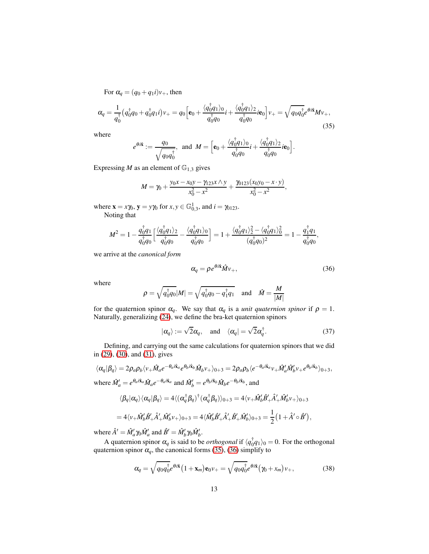For  $\alpha_{q} = (q_{0} + q_{1}i)v_{+}$ , then

<span id="page-12-0"></span>
$$
\alpha_q = \frac{1}{q_0^{\dagger}} \left( q_0^{\dagger} q_0 + q_0^{\dagger} q_1 i \right) v_+ = q_0 \left[ \mathbf{e}_0 + \frac{\langle q_0^{\dagger} q_1 \rangle_0}{q_0^{\dagger} q_0} i + \frac{\langle q_0^{\dagger} q_1 \rangle_2}{q_0^{\dagger} q_0} i \mathbf{e}_0 \right] v_+ = \sqrt{q_0 q_0^{\dagger}} e^{\theta i \mathbf{\hat{x}}} M v_+, \tag{35}
$$

where

$$
e^{\theta i \hat{\mathbf{x}}} := \frac{q_0}{\sqrt{q_0 q_0^{\dagger}}}, \text{ and } M = \Big[ \mathbf{e}_0 + \frac{\langle q_0^{\dagger} q_1 \rangle_0}{q_0^{\dagger} q_0} i + \frac{\langle q_0^{\dagger} q_1 \rangle_2}{q_0^{\dagger} q_0} i \mathbf{e}_0 \Big].
$$

Expressing *M* as an element of  $\mathbb{G}_{1,3}$  gives

$$
M = \gamma_0 + \frac{y_0x - x_0y - \gamma_{123}x \wedge y}{x_0^2 - x^2} + \frac{\gamma_{0123}(x_0y_0 - x \cdot y)}{x_0^2 - x^2},
$$

where  $\mathbf{x} = x\gamma_0, \mathbf{y} = y\gamma_0 \text{ for } x, y \in \mathbb{G}_{0,3}^1, \text{ and } i = \gamma_{0123}.$ Noting that

$$
M^{2} = 1 - \frac{q_{0}^{\dagger}q_{1}}{q_{0}^{\dagger}q_{0}} \left[ \frac{\langle q_{0}^{\dagger}q_{1}\rangle_{2}}{q_{0}^{\dagger}q_{0}} - \frac{\langle q_{0}^{\dagger}q_{1}\rangle_{0}}{q_{0}^{\dagger}q_{0}} \right] = 1 + \frac{\langle q_{0}^{\dagger}q_{1}\rangle_{2}^{2} - \langle q_{0}^{\dagger}q_{1}\rangle_{0}^{2}}{(q_{0}^{\dagger}q_{0})^{2}} = 1 - \frac{q_{1}^{\dagger}q_{1}}{q_{0}^{\dagger}q_{0}},
$$

we arrive at the *canonical form*

<span id="page-12-1"></span>
$$
\alpha_q = \rho \, e^{\theta i \hat{\mathbf{x}}} \hat{M} v_+, \tag{36}
$$

where

$$
\rho = \sqrt{q_0^{\dagger} q_0} |M| = \sqrt{q_0^{\dagger} q_0 - q_1^{\dagger} q_1} \quad \text{and} \quad \hat{M} = \frac{M}{|M|}
$$

for the quaternion spinor  $\alpha_q$ . We say that  $\alpha_q$  is a *unit quaternion spinor* if  $\rho = 1$ . Naturally, generalizing [\(24\)](#page-9-3), we define the bra-ket quaternion spinors

$$
|\alpha_q\rangle := \sqrt{2}\alpha_q
$$
, and  $\langle \alpha_q| = \sqrt{2}\alpha_q^{\dagger}$ . (37)

Defining, and carrying out the same calculations for quaternion spinors that we did in [\(29\)](#page-9-4), [\(30\)](#page-10-2), and [\(31\)](#page-10-0), gives

$$
\langle \alpha_q | \beta_q \rangle = 2 \rho_a \rho_b \langle v_+ \hat{M}_a e^{-\theta_a i \hat{x}_a} e^{\theta_b i \hat{x}_b} \hat{M}_b v_+ \rangle_{0+3} = 2 \rho_a \rho_b \langle e^{-\theta_a i \hat{x}_a} v_+ \hat{M}_a' \hat{M}_b' v_+ e^{\theta_b i \hat{x}_b} \rangle_{0+3},
$$
  
where  $\hat{M}_a' = e^{\theta_a i \hat{x}_a} \hat{M}_a e^{-\theta_a i \hat{x}_a}$  and  $\hat{M}_b' = e^{\theta_b i \hat{x}_b} \hat{M}_b e^{-\theta_b i \hat{x}_b}$ , and

$$
\langle \beta_q | \alpha_q \rangle \langle \alpha_q | \beta_q \rangle = 4 \langle (\alpha_q^{\dagger} \beta_q)^{\dagger} (\alpha_q^{\dagger} \beta_q) \rangle_{0+3} = 4 \langle \nu_+ \hat{M}_b' \hat{B}_+' \hat{A}_+' \hat{M}_b' \nu_+ \rangle_{0+3}
$$

$$
=4\langle \nu_+\hat{M}_b'\hat{B}_+' \hat{A}_+' \hat{M}_b'\nu_+\rangle_{0+3}=4\langle \hat{M}_b'\hat{B}_+' \hat{A}_+' \hat{B}_+' \hat{M}_b'\rangle_{0+3}=\frac{1}{2}\big(1+\hat{A}'\circ \hat{B}'\big),
$$

where  $\hat{A}' = \hat{M}'_a \gamma_0 \hat{M}'_a$  and  $\hat{B}' = \hat{M}'_b \gamma_0 \hat{M}'_b$ .

A quaternion spinor  $\alpha_q$  is said to be *orthogonal* if  $\langle q_0^{\dagger} q_1 \rangle_0 = 0$ . For the orthogonal quaternion spinor  $\alpha_q$ , the canonical forms [\(35\)](#page-12-0), [\(36\)](#page-12-1) simplify to

<span id="page-12-2"></span>
$$
\alpha_q = \sqrt{q_0 q_0^{\dagger}} e^{\theta i \hat{\mathbf{x}}} \left( 1 + \mathbf{x}_m \right) \mathbf{e}_0 \nu_+ = \sqrt{q_0 q_0^{\dagger}} e^{\theta i \hat{\mathbf{x}}} \left( \gamma_0 + x_m \right) \nu_+, \tag{38}
$$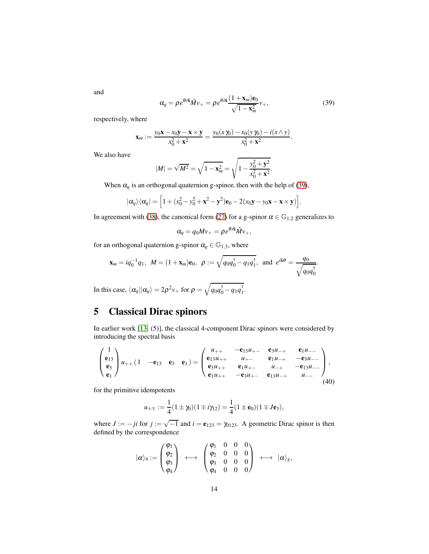and

<span id="page-13-0"></span>
$$
\alpha_q = \rho e^{\theta i \hat{\mathbf{x}}} \hat{M} v_+ = \rho e^{\theta i \hat{\mathbf{x}}} \frac{(1 + \mathbf{x}_m) \mathbf{e}_0}{\sqrt{1 - \mathbf{x}_m^2}} v_+, \tag{39}
$$

.

respectively, where

$$
\mathbf{x}_m := \frac{y_0 \mathbf{x} - x_0 \mathbf{y} - \mathbf{x} \times \mathbf{y}}{x_0^2 + \mathbf{x}^2} = \frac{y_0(x \gamma_0) - x_0(y \gamma_0) - i(x \wedge y)}{x_0^2 + \mathbf{x}^2}.
$$

We also have

$$
|M| = \sqrt{M^2} = \sqrt{1 - \mathbf{x}_m^2} = \sqrt{1 - \frac{y_0^2 + \mathbf{y}^2}{x_0^2 + \mathbf{x}^2}}
$$

When  $\alpha_q$  is an orthogonal quaternion g-spinor, then with the help of [\(39\)](#page-13-0),

$$
|\alpha_q\rangle\langle\alpha_q| = \Big[1 + (x_0^2 - y_0^2 + \mathbf{x}^2 - \mathbf{y}^2)\mathbf{e}_0 - 2(x_0\mathbf{y} - y_0\mathbf{x} - \mathbf{x} \times \mathbf{y})\Big].
$$

In agreement with [\(38\)](#page-12-2), the canonical form [\(27\)](#page-9-2) for a g-spinor  $\alpha \in \mathbb{G}_{1,2}$  generalizes to

$$
\alpha_q = q_0 M v_+ = \rho e^{\theta i \hat{\mathbf{x}}} \hat{M} v_+,
$$

for an orthogonal quaternion g-spinor  $\alpha_q \in \mathbb{G}_{1,3}$ , where

$$
\mathbf{x}_m = iq_0^{-1}q_1, \ \ M = (1 + \mathbf{x}_m)\mathbf{e}_0, \ \ \rho := \sqrt{q_0q_0^{\dagger} - q_1q_1^{\dagger}}, \ \ \text{and} \ \ e^{i\mathbf{\hat{x}}\theta} = \frac{q_0}{\sqrt{q_0q_0^{\dagger}}}.
$$

In this case,  $\langle \alpha_q || \alpha_q \rangle = 2\rho^2 v_+$  for  $\rho = \sqrt{q_0 q_0^{\dagger} - q_1 q_1^{\dagger}}$ .

## 5 Classical Dirac spinors

In earlier work [\[13,](#page-15-4) (5)], the classical 4-component Dirac spinors were considered by introducing the spectral basis

$$
\begin{pmatrix} 1 \\ e_{13} \\ e_3 \\ e_1 \end{pmatrix} u_{++} (1 - e_{13} e_3 e_1) = \begin{pmatrix} u_{++} - e_{13}u_{+-} & e_{3}u_{-+} & e_{1}u_{--} \\ e_{13}u_{++} & u_{+-} & e_{1}u_{-+} & -e_{3}u_{--} \\ e_{3}u_{++} & e_{1}u_{+-} & u_{-+} & -e_{13}u_{--} \\ e_{1}u_{++} - e_{3}u_{+-} & e_{13}u_{-+} & u_{--} \end{pmatrix},
$$
\n(40)

for the primitive idempotents

$$
u_{\pm\mp} := \frac{1}{4}(1 \pm \gamma_0)(1 \mp i \gamma_{12}) = \frac{1}{4}(1 \pm \mathbf{e}_0)(1 \mp J\mathbf{e}_3),
$$

where  $J := -ji$  for  $j := \sqrt{-1}$  and  $i = e_{123} = \gamma_{0123}$ . A geometric Dirac spinor is then defined by the correspondence

$$
|\alpha\rangle_4:=\begin{pmatrix}\phi_1\\ \phi_2\\ \phi_3\\ \phi_4\end{pmatrix}\;\;\longleftrightarrow\;\;\begin{pmatrix}\phi_1&0&0&0\\ \phi_2&0&0&0\\ \phi_3&0&0&0\\ \phi_4&0&0&0\end{pmatrix}\;\;\longleftrightarrow\;\;|\alpha\rangle_g,
$$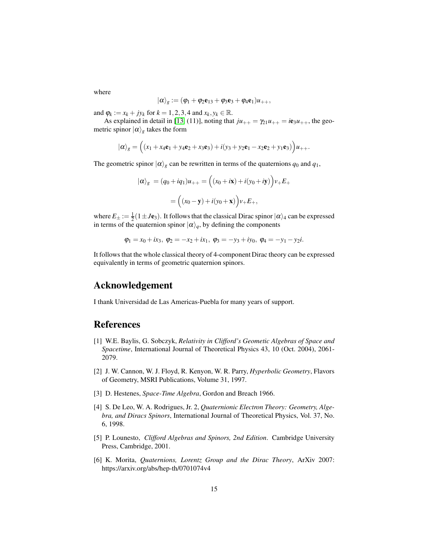where

$$
|\alpha\rangle_g := (\varphi_1 + \varphi_2 \mathbf{e}_{13} + \varphi_3 \mathbf{e}_3 + \varphi_4 \mathbf{e}_1) u_{++},
$$

and  $\varphi_k := x_k + jy_k$  for  $k = 1, 2, 3, 4$  and  $x_k, y_k \in \mathbb{R}$ .

As explained in detail in [\[13,](#page-15-4) (11)], noting that  $ju_{++} = \gamma_{21}u_{++} = ie_3u_{++}$ , the geometric spinor  $|\alpha\rangle_g$  takes the form

$$
|\alpha\rangle_{g} = ((x_1 + x_4\mathbf{e}_1 + y_4\mathbf{e}_2 + x_3\mathbf{e}_3) + i(y_3 + y_2\mathbf{e}_1 - x_2\mathbf{e}_2 + y_1\mathbf{e}_3))u_{++}.
$$

The geometric spinor  $|\alpha\rangle_g$  can be rewritten in terms of the quaternions  $q_0$  and  $q_1$ ,

$$
|\alpha\rangle_g = (q_0 + iq_1)u_{++} = ((x_0 + i\mathbf{x}) + i(y_0 + i\mathbf{y}))v_+E_+
$$

$$
= ((x_0 - \mathbf{y}) + i(y_0 + \mathbf{x}))v_+E_+,
$$

where  $E_{\pm} := \frac{1}{2}(1 \pm J\mathbf{e}_3)$ . It follows that the classical Dirac spinor  $|\alpha\rangle_4$  can be expressed in terms of the quaternion spinor  $|\alpha\rangle_q$ , by defining the components

$$
\varphi_1 = x_0 + ix_3, \ \varphi_2 = -x_2 + ix_1, \ \varphi_3 = -y_3 + iy_0, \ \varphi_4 = -y_1 - y_2i.
$$

It follows that the whole classical theory of 4-component Dirac theory can be expressed equivalently in terms of geometric quaternion spinors.

#### Acknowledgement

I thank Universidad de Las Americas-Puebla for many years of support.

#### <span id="page-14-5"></span>References

- [1] W.E. Baylis, G. Sobczyk, *Relativity in Clifford's Geometic Algebras of Space and Spacetime*, International Journal of Theoretical Physics 43, 10 (Oct. 2004), 2061- 2079.
- <span id="page-14-1"></span>[2] J. W. Cannon, W. J. Floyd, R. Kenyon, W. R. Parry, *Hyperbolic Geometry*, Flavors of Geometry, MSRI Publications, Volume 31, 1997.
- <span id="page-14-2"></span><span id="page-14-0"></span>[3] D. Hestenes, *Space-Time Algebra*, Gordon and Breach 1966.
- [4] S. De Leo, W. A. Rodrigues, Jr. 2, *Quaternionic Electron Theory: Geometry, Algebra, and Diracs Spinors*, International Journal of Theoretical Physics, Vol. 37, No. 6, 1998.
- <span id="page-14-4"></span>[5] P. Lounesto, *Clifford Algebras and Spinors, 2nd Edition*. Cambridge University Press, Cambridge, 2001.
- <span id="page-14-3"></span>[6] K. Morita, *Quaternions, Lorentz Group and the Dirac Theory*, ArXiv 2007: https://arxiv.org/abs/hep-th/0701074v4